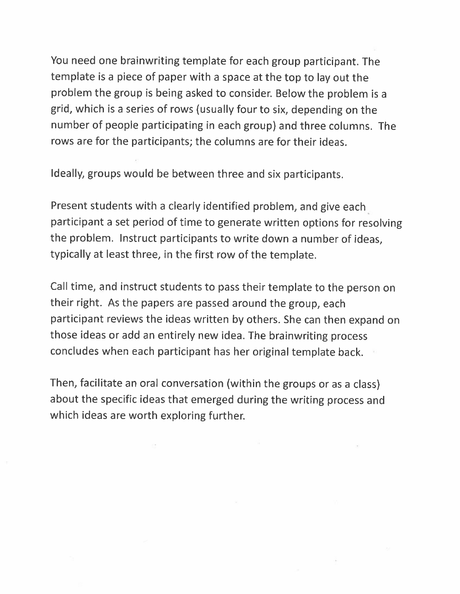You need one brainwriting template for each group participant. The template is <sup>a</sup> <sup>p</sup>iece of paper with <sup>a</sup> space at the top to lay out the problem the group is being asked to consider. Below the problem is a grid, which is <sup>a</sup> series of rows (usually four to six, depending on the number of people participating in each group) and three columns. The rows are for the participants; the columns are for their ideas.

Ideally, groups would be between three and six participants.

Present students with <sup>a</sup> clearly identified problem, and <sup>g</sup>ive each participant <sup>a</sup> set period of time to generate written options for resolving the problem. Instruct participants to write down <sup>a</sup> number of ideas, typically at least three, in the first row of the template.

Call time, and instruct students to pass their template to the person on their right. As the papers are passed around the group, each participant reviews the ideas written by others. She can then expand on those ideas or add an entirely new idea. The brainwriting process concludes when each participant has her original template back.

Then, facilitate an oral conversation (within the groups or as <sup>a</sup> class) about the specific ideas that emerged during the writing process and which ideas are worth exploring further.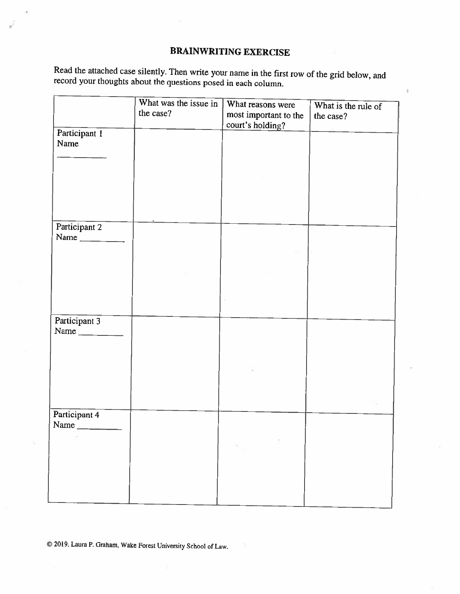## BRAINWRITING EXERCISE

ŧ

Read the attached case silently. Then write your name in the first row of the grid below, and record your thoughts about the questions posed in each column.

|                                                                                           | What was the issue in<br>the case? | What reasons were<br>most important to the<br>court's holding? | What is the rule of<br>the case? |
|-------------------------------------------------------------------------------------------|------------------------------------|----------------------------------------------------------------|----------------------------------|
| Participant 1<br>Name                                                                     |                                    |                                                                |                                  |
|                                                                                           |                                    |                                                                |                                  |
| Participant 2<br>Name $\frac{1}{\sqrt{1-\frac{1}{2}}\cdot\frac{1}{\sqrt{1-\frac{1}{2}}}}$ |                                    |                                                                |                                  |
|                                                                                           |                                    |                                                                |                                  |
| Participant 3<br>Name                                                                     |                                    |                                                                |                                  |
|                                                                                           |                                    |                                                                |                                  |
| Participant 4<br>Name                                                                     |                                    |                                                                |                                  |
|                                                                                           |                                    |                                                                |                                  |

© 2019. Laura P. Graham, Wake Forest Uoiversity School of Law.